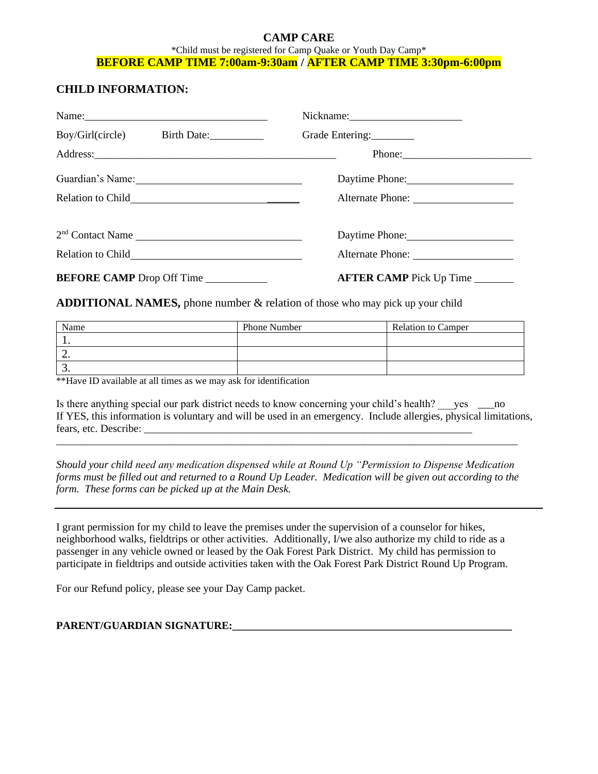#### **CAMP CARE** \*Child must be registered for Camp Quake or Youth Day Camp\* **BEFORE CAMP TIME 7:00am-9:30am / AFTER CAMP TIME 3:30pm-6:00pm**

#### **CHILD INFORMATION:**

| Name:                        |                                |
|------------------------------|--------------------------------|
| Boy/Girl(circle) Birth Date: | Grade Entering:                |
|                              |                                |
| Guardian's Name:             | Daytime Phone:                 |
|                              |                                |
|                              |                                |
|                              |                                |
| BEFORE CAMP Drop Off Time    | <b>AFTER CAMP</b> Pick Up Time |

**ADDITIONAL NAMES,** phone number & relation of those who may pick up your child

| Name     | Phone Number | <b>Relation to Camper</b> |
|----------|--------------|---------------------------|
| . .      |              |                           |
| <u>.</u> |              |                           |
|          |              |                           |

\*\*Have ID available at all times as we may ask for identification

Is there anything special our park district needs to know concerning your child's health? ves \_\_\_\_\_\_no If YES, this information is voluntary and will be used in an emergency. Include allergies, physical limitations, fears, etc. Describe: \_\_\_\_\_\_\_\_\_\_\_\_\_\_\_\_\_\_\_\_\_\_\_\_\_\_\_\_\_\_\_\_\_\_\_\_\_\_\_\_\_\_\_\_\_\_\_\_\_\_\_\_\_\_\_\_\_\_\_\_\_\_\_\_

*Should your child need any medication dispensed while at Round Up "Permission to Dispense Medication forms must be filled out and returned to a Round Up Leader. Medication will be given out according to the form. These forms can be picked up at the Main Desk.*

 $\_$  ,  $\_$  ,  $\_$  ,  $\_$  ,  $\_$  ,  $\_$  ,  $\_$  ,  $\_$  ,  $\_$  ,  $\_$  ,  $\_$  ,  $\_$  ,  $\_$  ,  $\_$  ,  $\_$  ,  $\_$  ,  $\_$  ,  $\_$  ,  $\_$  ,  $\_$  ,  $\_$  ,  $\_$  ,  $\_$  ,  $\_$  ,  $\_$  ,  $\_$  ,  $\_$  ,  $\_$  ,  $\_$  ,  $\_$  ,  $\_$  ,  $\_$  ,  $\_$  ,  $\_$  ,  $\_$  ,  $\_$  ,  $\_$  ,

I grant permission for my child to leave the premises under the supervision of a counselor for hikes, neighborhood walks, fieldtrips or other activities. Additionally, I/we also authorize my child to ride as a passenger in any vehicle owned or leased by the Oak Forest Park District. My child has permission to participate in fieldtrips and outside activities taken with the Oak Forest Park District Round Up Program.

For our Refund policy, please see your Day Camp packet.

#### **PARENT/GUARDIAN SIGNATURE:\_\_\_\_\_\_\_\_\_\_\_\_\_\_\_\_\_\_\_\_\_\_\_\_\_\_\_\_\_\_\_\_\_\_\_\_\_\_\_\_\_\_\_\_\_\_\_\_\_\_\_\_**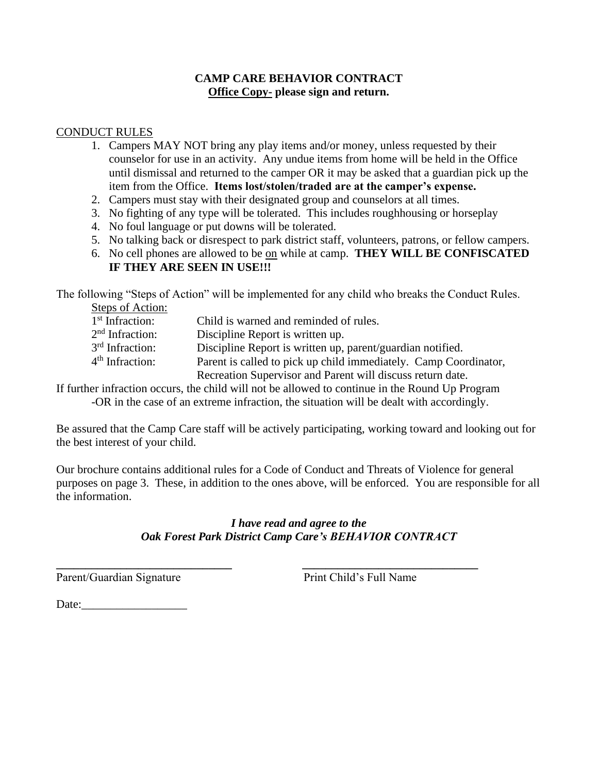#### **CAMP CARE BEHAVIOR CONTRACT Office Copy- please sign and return.**

#### CONDUCT RULES

- 1. Campers MAY NOT bring any play items and/or money, unless requested by their counselor for use in an activity. Any undue items from home will be held in the Office until dismissal and returned to the camper OR it may be asked that a guardian pick up the item from the Office. **Items lost/stolen/traded are at the camper's expense.**
- 2. Campers must stay with their designated group and counselors at all times.
- 3. No fighting of any type will be tolerated. This includes roughhousing or horseplay
- 4. No foul language or put downs will be tolerated.
- 5. No talking back or disrespect to park district staff, volunteers, patrons, or fellow campers.
- 6. No cell phones are allowed to be on while at camp. **THEY WILL BE CONFISCATED IF THEY ARE SEEN IN USE!!!**

The following "Steps of Action" will be implemented for any child who breaks the Conduct Rules.

| <b>Steps of Action:</b> |                                                                  |
|-------------------------|------------------------------------------------------------------|
| $1st$ Infraction:       | Child is warned and reminded of rules.                           |
| $2nd$ Infraction:       | Discipline Report is written up.                                 |
| $3rd$ Infraction:       | Discipline Report is written up, parent/guardian notified.       |
| $4th$ Infraction:       | Parent is called to pick up child immediately. Camp Coordinator, |
|                         | Recreation Supervisor and Parent will discuss return date.       |

If further infraction occurs, the child will not be allowed to continue in the Round Up Program -OR in the case of an extreme infraction, the situation will be dealt with accordingly.

Be assured that the Camp Care staff will be actively participating, working toward and looking out for the best interest of your child.

Our brochure contains additional rules for a Code of Conduct and Threats of Violence for general purposes on page 3. These, in addition to the ones above, will be enforced. You are responsible for all the information.

#### *I have read and agree to the Oak Forest Park District Camp Care's BEHAVIOR CONTRACT*

**\_\_\_\_\_\_\_\_\_\_\_\_\_\_\_\_\_\_\_\_\_\_\_\_\_\_\_\_\_\_ \_\_\_\_\_\_\_\_\_\_\_\_\_\_\_\_\_\_\_\_\_\_\_\_\_\_\_\_\_\_**

Parent/Guardian Signature Print Child's Full Name

Date: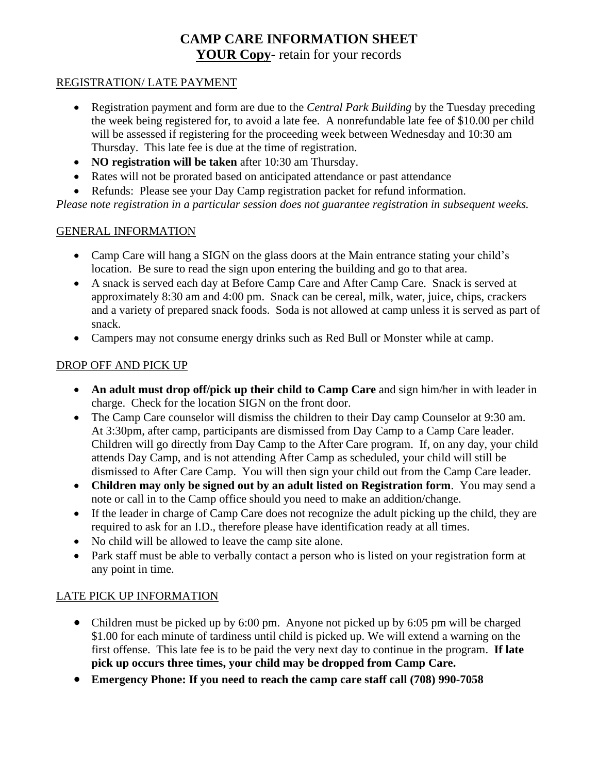## **CAMP CARE INFORMATION SHEET YOUR Copy-** retain for your records

#### REGISTRATION/ LATE PAYMENT

- Registration payment and form are due to the *Central Park Building* by the Tuesday preceding the week being registered for, to avoid a late fee. A nonrefundable late fee of \$10.00 per child will be assessed if registering for the proceeding week between Wednesday and 10:30 am Thursday. This late fee is due at the time of registration.
- **NO registration will be taken** after 10:30 am Thursday.
- Rates will not be prorated based on anticipated attendance or past attendance
- Refunds: Please see your Day Camp registration packet for refund information.

*Please note registration in a particular session does not guarantee registration in subsequent weeks.*

#### GENERAL INFORMATION

- Camp Care will hang a SIGN on the glass doors at the Main entrance stating your child's location. Be sure to read the sign upon entering the building and go to that area.
- A snack is served each day at Before Camp Care and After Camp Care. Snack is served at approximately 8:30 am and 4:00 pm. Snack can be cereal, milk, water, juice, chips, crackers and a variety of prepared snack foods. Soda is not allowed at camp unless it is served as part of snack.
- Campers may not consume energy drinks such as Red Bull or Monster while at camp.

#### DROP OFF AND PICK UP

- **An adult must drop off/pick up their child to Camp Care** and sign him/her in with leader in charge. Check for the location SIGN on the front door.
- The Camp Care counselor will dismiss the children to their Day camp Counselor at 9:30 am. At 3:30pm, after camp, participants are dismissed from Day Camp to a Camp Care leader. Children will go directly from Day Camp to the After Care program. If, on any day, your child attends Day Camp, and is not attending After Camp as scheduled, your child will still be dismissed to After Care Camp. You will then sign your child out from the Camp Care leader.
- **Children may only be signed out by an adult listed on Registration form**. You may send a note or call in to the Camp office should you need to make an addition/change.
- If the leader in charge of Camp Care does not recognize the adult picking up the child, they are required to ask for an I.D., therefore please have identification ready at all times.
- No child will be allowed to leave the camp site alone.
- Park staff must be able to verbally contact a person who is listed on your registration form at any point in time.

### LATE PICK UP INFORMATION

- Children must be picked up by 6:00 pm. Anyone not picked up by 6:05 pm will be charged \$1.00 for each minute of tardiness until child is picked up. We will extend a warning on the first offense. This late fee is to be paid the very next day to continue in the program. **If late pick up occurs three times, your child may be dropped from Camp Care.**
- **Emergency Phone: If you need to reach the camp care staff call (708) 990-7058**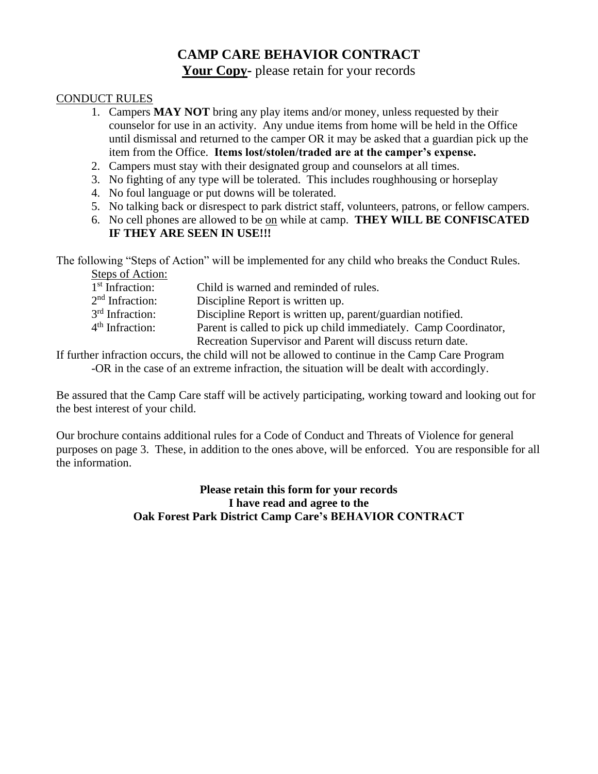## **CAMP CARE BEHAVIOR CONTRACT**

**Your Copy-** please retain for your records

#### CONDUCT RULES

- 1. Campers **MAY NOT** bring any play items and/or money, unless requested by their counselor for use in an activity. Any undue items from home will be held in the Office until dismissal and returned to the camper OR it may be asked that a guardian pick up the item from the Office. **Items lost/stolen/traded are at the camper's expense.**
- 2. Campers must stay with their designated group and counselors at all times.
- 3. No fighting of any type will be tolerated. This includes roughhousing or horseplay
- 4. No foul language or put downs will be tolerated.
- 5. No talking back or disrespect to park district staff, volunteers, patrons, or fellow campers.
- 6. No cell phones are allowed to be on while at camp. **THEY WILL BE CONFISCATED IF THEY ARE SEEN IN USE!!!**

The following "Steps of Action" will be implemented for any child who breaks the Conduct Rules.

| Steps of Action:            |                                                                  |
|-----------------------------|------------------------------------------------------------------|
| 1 <sup>st</sup> Infraction: | Child is warned and reminded of rules.                           |
| 2 <sup>nd</sup> Infraction: | Discipline Report is written up.                                 |
| 3 <sup>rd</sup> Infraction: | Discipline Report is written up, parent/guardian notified.       |
| 4 <sup>th</sup> Infraction: | Parent is called to pick up child immediately. Camp Coordinator, |
|                             | Recreation Supervisor and Parent will discuss return date.       |

If further infraction occurs, the child will not be allowed to continue in the Camp Care Program -OR in the case of an extreme infraction, the situation will be dealt with accordingly.

Be assured that the Camp Care staff will be actively participating, working toward and looking out for the best interest of your child.

Our brochure contains additional rules for a Code of Conduct and Threats of Violence for general purposes on page 3. These, in addition to the ones above, will be enforced. You are responsible for all the information.

#### **Please retain this form for your records I have read and agree to the Oak Forest Park District Camp Care's BEHAVIOR CONTRACT**